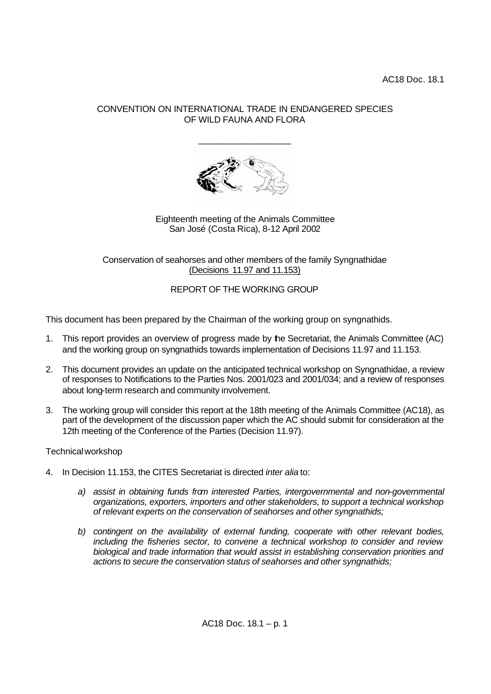## CONVENTION ON INTERNATIONAL TRADE IN ENDANGERED SPECIES OF WILD FAUNA AND FLORA

\_\_\_\_\_\_\_\_\_\_\_\_\_\_\_\_\_\_\_



Eighteenth meeting of the Animals Committee San José (Costa Rica), 8-12 April 2002

Conservation of seahorses and other members of the family Syngnathidae (Decisions 11.97 and 11.153)

REPORT OF THE WORKING GROUP

This document has been prepared by the Chairman of the working group on syngnathids.

- 1. This report provides an overview of progress made by the Secretariat, the Animals Committee (AC) and the working group on syngnathids towards implementation of Decisions 11.97 and 11.153.
- 2. This document provides an update on the anticipated technical workshop on Syngnathidae, a review of responses to Notifications to the Parties Nos. 2001/023 and 2001/034; and a review of responses about long-term research and community involvement.
- 3. The working group will consider this report at the 18th meeting of the Animals Committee (AC18), as part of the development of the discussion paper which the AC should submit for consideration at the 12th meeting of the Conference of the Parties (Decision 11.97).

## Technical workshop

- 4. In Decision 11.153, the CITES Secretariat is directed *inter alia* to:
	- *a) assist in obtaining funds from interested Parties, intergovernmental and non-governmental organizations, exporters, importers and other stakeholders, to support a technical workshop of relevant experts on the conservation of seahorses and other syngnathids;*
	- *b) contingent on the availability of external funding, cooperate with other relevant bodies, including the fisheries sector, to convene a technical workshop to consider and review biological and trade information that would assist in establishing conservation priorities and actions to secure the conservation status of seahorses and other syngnathids;*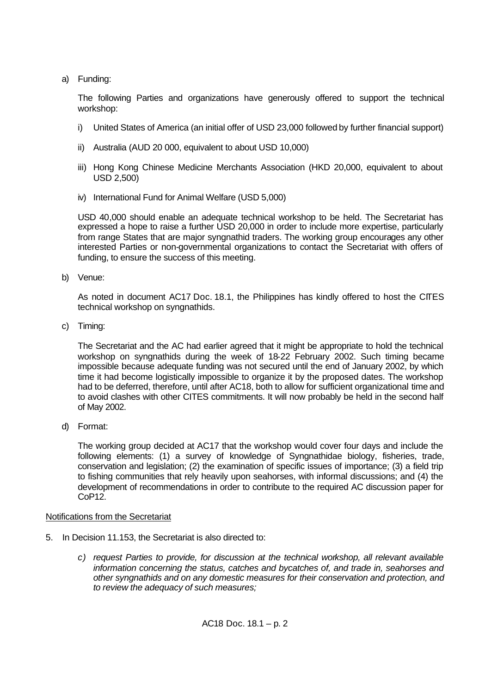a) Funding:

The following Parties and organizations have generously offered to support the technical workshop:

- i) United States of America (an initial offer of USD 23,000 followed by further financial support)
- ii) Australia (AUD 20 000, equivalent to about USD 10,000)
- iii) Hong Kong Chinese Medicine Merchants Association (HKD 20,000, equivalent to about USD 2,500)
- iv) International Fund for Animal Welfare (USD 5,000)

USD 40,000 should enable an adequate technical workshop to be held. The Secretariat has expressed a hope to raise a further USD 20,000 in order to include more expertise, particularly from range States that are major syngnathid traders. The working group encourages any other interested Parties or non-governmental organizations to contact the Secretariat with offers of funding, to ensure the success of this meeting.

b) Venue:

As noted in document AC17 Doc. 18.1, the Philippines has kindly offered to host the CITES technical workshop on syngnathids.

c) Timing:

The Secretariat and the AC had earlier agreed that it might be appropriate to hold the technical workshop on syngnathids during the week of 18-22 February 2002. Such timing became impossible because adequate funding was not secured until the end of January 2002, by which time it had become logistically impossible to organize it by the proposed dates. The workshop had to be deferred, therefore, until after AC18, both to allow for sufficient organizational time and to avoid clashes with other CITES commitments. It will now probably be held in the second half of May 2002.

d) Format:

The working group decided at AC17 that the workshop would cover four days and include the following elements: (1) a survey of knowledge of Syngnathidae biology, fisheries, trade, conservation and legislation; (2) the examination of specific issues of importance; (3) a field trip to fishing communities that rely heavily upon seahorses, with informal discussions; and (4) the development of recommendations in order to contribute to the required AC discussion paper for CoP12.

## Notifications from the Secretariat

- 5. In Decision 11.153, the Secretariat is also directed to:
	- *c) request Parties to provide, for discussion at the technical workshop, all relevant available information concerning the status, catches and bycatches of, and trade in, seahorses and other syngnathids and on any domestic measures for their conservation and protection, and to review the adequacy of such measures;*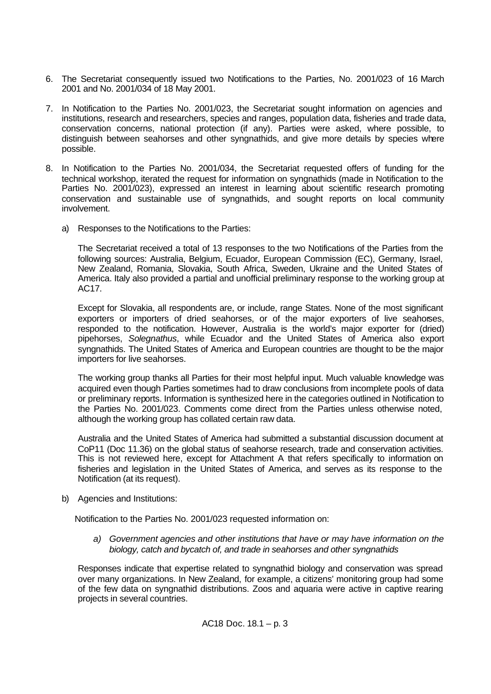- 6. The Secretariat consequently issued two Notifications to the Parties, No. 2001/023 of 16 March 2001 and No. 2001/034 of 18 May 2001.
- 7. In Notification to the Parties No. 2001/023, the Secretariat sought information on agencies and institutions, research and researchers, species and ranges, population data, fisheries and trade data, conservation concerns, national protection (if any). Parties were asked, where possible, to distinguish between seahorses and other syngnathids, and give more details by species where possible.
- 8. In Notification to the Parties No. 2001/034, the Secretariat requested offers of funding for the technical workshop, iterated the request for information on syngnathids (made in Notification to the Parties No. 2001/023), expressed an interest in learning about scientific research promoting conservation and sustainable use of syngnathids, and sought reports on local community involvement.
	- a) Responses to the Notifications to the Parties:

The Secretariat received a total of 13 responses to the two Notifications of the Parties from the following sources: Australia, Belgium, Ecuador, European Commission (EC), Germany, Israel, New Zealand, Romania, Slovakia, South Africa, Sweden, Ukraine and the United States of America. Italy also provided a partial and unofficial preliminary response to the working group at AC17.

Except for Slovakia, all respondents are, or include, range States. None of the most significant exporters or importers of dried seahorses, or of the major exporters of live seahorses, responded to the notification. However, Australia is the world's major exporter for (dried) pipehorses, *Solegnathus*, while Ecuador and the United States of America also export syngnathids. The United States of America and European countries are thought to be the major importers for live seahorses.

The working group thanks all Parties for their most helpful input. Much valuable knowledge was acquired even though Parties sometimes had to draw conclusions from incomplete pools of data or preliminary reports. Information is synthesized here in the categories outlined in Notification to the Parties No. 2001/023. Comments come direct from the Parties unless otherwise noted, although the working group has collated certain raw data.

Australia and the United States of America had submitted a substantial discussion document at CoP11 (Doc 11.36) on the global status of seahorse research, trade and conservation activities. This is not reviewed here, except for Attachment A that refers specifically to information on fisheries and legislation in the United States of America, and serves as its response to the Notification (at its request).

b) Agencies and Institutions:

Notification to the Parties No. 2001/023 requested information on:

*a) Government agencies and other institutions that have or may have information on the biology, catch and bycatch of, and trade in seahorses and other syngnathids*

Responses indicate that expertise related to syngnathid biology and conservation was spread over many organizations. In New Zealand, for example, a citizens' monitoring group had some of the few data on syngnathid distributions. Zoos and aquaria were active in captive rearing projects in several countries.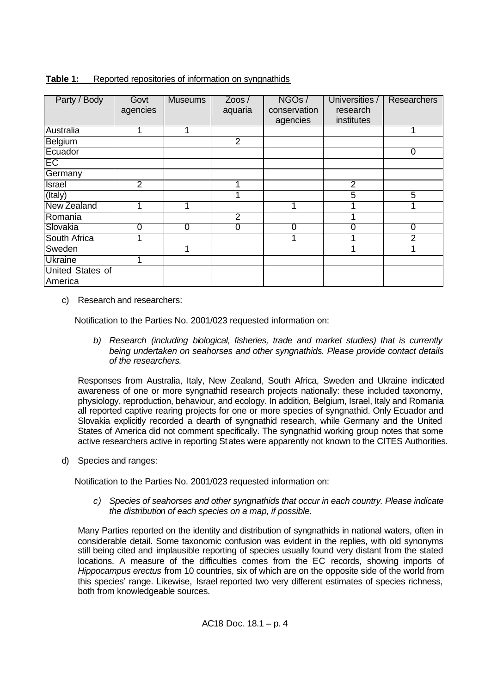| Party / Body       | Govt           | <b>Museums</b> | $Z$ oos /      | NGOs/        | Universities / | <b>Researchers</b> |
|--------------------|----------------|----------------|----------------|--------------|----------------|--------------------|
|                    | agencies       |                | aquaria        | conservation | research       |                    |
|                    |                |                |                | agencies     | institutes     |                    |
| Australia          |                |                |                |              |                |                    |
| <b>Belgium</b>     |                |                | 2              |              |                |                    |
| Ecuador            |                |                |                |              |                | 0                  |
| EC                 |                |                |                |              |                |                    |
| Germany            |                |                |                |              |                |                    |
| <b>Israel</b>      | $\overline{2}$ |                |                |              | $\overline{2}$ |                    |
| (Italy)            |                |                |                |              | $\overline{5}$ | 5                  |
| <b>New Zealand</b> |                |                |                |              |                |                    |
| Romania            |                |                | $\overline{2}$ |              |                |                    |
| Slovakia           | $\Omega$       | $\Omega$       | $\overline{0}$ | $\Omega$     | 0              | 0                  |
| South Africa       |                |                |                |              |                | 2                  |
| Sweden             |                |                |                |              |                |                    |
| <b>Ukraine</b>     |                |                |                |              |                |                    |
| United States of   |                |                |                |              |                |                    |
| America            |                |                |                |              |                |                    |

**Table 1:** Reported repositories of information on syngnathids

c) Research and researchers:

Notification to the Parties No. 2001/023 requested information on:

*b) Research (including biological, fisheries, trade and market studies) that is currently being undertaken on seahorses and other syngnathids. Please provide contact details of the researchers.*

Responses from Australia, Italy, New Zealand, South Africa, Sweden and Ukraine indicated awareness of one or more syngnathid research projects nationally: these included taxonomy, physiology, reproduction, behaviour, and ecology. In addition, Belgium, Israel, Italy and Romania all reported captive rearing projects for one or more species of syngnathid. Only Ecuador and Slovakia explicitly recorded a dearth of syngnathid research, while Germany and the United States of America did not comment specifically. The syngnathid working group notes that some active researchers active in reporting States were apparently not known to the CITES Authorities.

d) Species and ranges:

Notification to the Parties No. 2001/023 requested information on:

*c) Species of seahorses and other syngnathids that occur in each country. Please indicate the distribution of each species on a map, if possible.*

Many Parties reported on the identity and distribution of syngnathids in national waters, often in considerable detail. Some taxonomic confusion was evident in the replies, with old synonyms still being cited and implausible reporting of species usually found very distant from the stated locations. A measure of the difficulties comes from the EC records, showing imports of *Hippocampus erectus* from 10 countries, six of which are on the opposite side of the world from this species' range. Likewise, Israel reported two very different estimates of species richness, both from knowledgeable sources.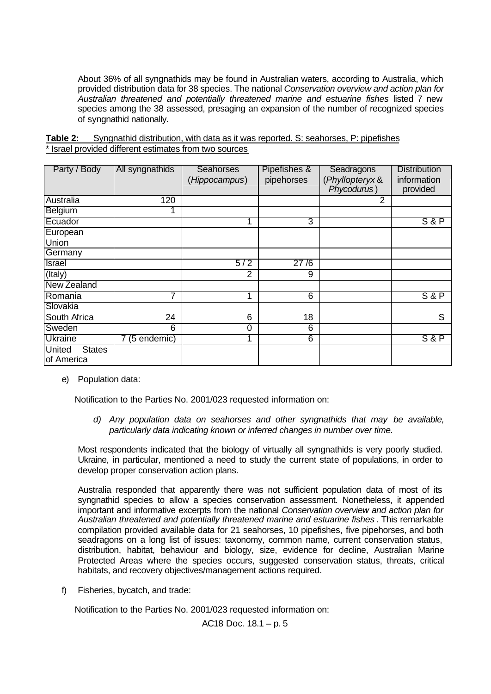About 36% of all syngnathids may be found in Australian waters, according to Australia, which provided distribution data for 38 species. The national *Conservation overview and action plan for Australian threatened and potentially threatened marine and estuarine fishes* listed 7 new species among the 38 assessed, presaging an expansion of the number of recognized species of syngnathid nationally.

| Table 2: | Syngnathid distribution, with data as it was reported. S: seahorses, P: pipefishes |  |  |  |
|----------|------------------------------------------------------------------------------------|--|--|--|
|          | * Israel provided different estimates from two sources                             |  |  |  |

| Party / Body                                 | All syngnathids | Seahorses<br>(Hippocampus) | Pipefishes &<br>pipehorses | Seadragons<br>(Phyllopteryx &<br>Phycodurus) | <b>Distribution</b><br>information<br>provided |
|----------------------------------------------|-----------------|----------------------------|----------------------------|----------------------------------------------|------------------------------------------------|
| Australia                                    | 120             |                            |                            | 2                                            |                                                |
| Belgium                                      |                 |                            |                            |                                              |                                                |
| Ecuador                                      |                 |                            | 3                          |                                              | S&P                                            |
| European<br>Union                            |                 |                            |                            |                                              |                                                |
| Germany                                      |                 |                            |                            |                                              |                                                |
| <b>Israel</b>                                |                 | 5/2                        | 27/6                       |                                              |                                                |
| (Italy)                                      |                 | $\overline{2}$             | 9                          |                                              |                                                |
| <b>New Zealand</b>                           |                 |                            |                            |                                              |                                                |
| Romania                                      | 7               | 1                          | 6                          |                                              | S&P                                            |
| Slovakia                                     |                 |                            |                            |                                              |                                                |
| South Africa                                 | 24              | 6                          | 18                         |                                              | $\overline{\mathsf{s}}$                        |
| Sweden                                       | 6               | 0                          | 6                          |                                              |                                                |
| <b>Ukraine</b>                               | 7 (5 endemic)   | ◢                          | $6\overline{6}$            |                                              | S&P                                            |
| <b>United</b><br><b>States</b><br>of America |                 |                            |                            |                                              |                                                |

e) Population data:

Notification to the Parties No. 2001/023 requested information on:

*d) Any population data on seahorses and other syngnathids that may be available, particularly data indicating known or inferred changes in number over time.*

Most respondents indicated that the biology of virtually all syngnathids is very poorly studied. Ukraine, in particular, mentioned a need to study the current state of populations, in order to develop proper conservation action plans.

Australia responded that apparently there was not sufficient population data of most of its syngnathid species to allow a species conservation assessment. Nonetheless, it appended important and informative excerpts from the national *Conservation overview and action plan for Australian threatened and potentially threatened marine and estuarine fishes* . This remarkable compilation provided available data for 21 seahorses, 10 pipefishes, five pipehorses, and both seadragons on a long list of issues: taxonomy, common name, current conservation status, distribution, habitat, behaviour and biology, size, evidence for decline, Australian Marine Protected Areas where the species occurs, suggested conservation status, threats, critical habitats, and recovery objectives/management actions required.

f) Fisheries, bycatch, and trade:

Notification to the Parties No. 2001/023 requested information on:

AC18 Doc. 18.1 – p. 5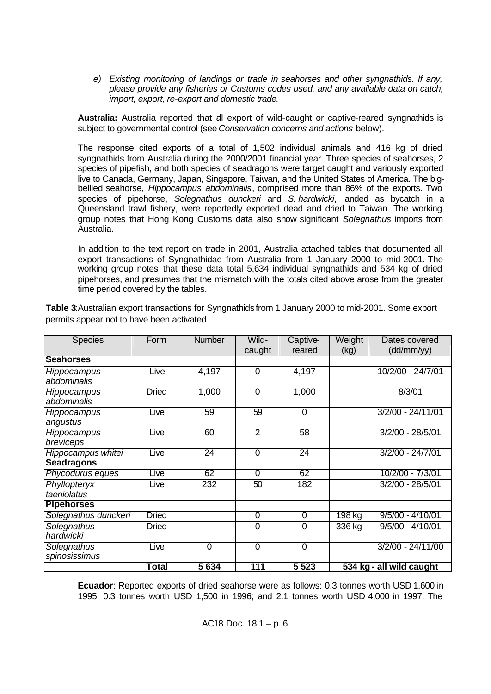*e) Existing monitoring of landings or trade in seahorses and other syngnathids. If any, please provide any fisheries or Customs codes used, and any available data on catch, import, export, re-export and domestic trade.*

**Australia:** Australia reported that all export of wild-caught or captive-reared syngnathids is subject to governmental control (see *Conservation concerns and actions* below).

The response cited exports of a total of 1,502 individual animals and 416 kg of dried syngnathids from Australia during the 2000/2001 financial year. Three species of seahorses, 2 species of pipefish, and both species of seadragons were target caught and variously exported live to Canada, Germany, Japan, Singapore, Taiwan, and the United States of America. The bigbellied seahorse, *Hippocampus abdominalis*, comprised more than 86% of the exports. Two species of pipehorse, *Solegnathus dunckeri* and *S. hardwicki*, landed as bycatch in a Queensland trawl fishery, were reportedly exported dead and dried to Taiwan. The working group notes that Hong Kong Customs data also show significant *Solegnathus* imports from Australia.

In addition to the text report on trade in 2001, Australia attached tables that documented all export transactions of Syngnathidae from Australia from 1 January 2000 to mid-2001. The working group notes that these data total 5,634 individual syngnathids and 534 kg of dried pipehorses, and presumes that the mismatch with the totals cited above arose from the greater time period covered by the tables.

| <b>Species</b>                    | Form         | <b>Number</b>  | Wild-<br>caught | Captive-<br>reared | Weight<br>(kg) | Dates covered<br>(dd/mm/yy) |
|-----------------------------------|--------------|----------------|-----------------|--------------------|----------------|-----------------------------|
| <b>Seahorses</b>                  |              |                |                 |                    |                |                             |
| Hippocampus<br>abdominalis        | Live         | 4,197          | 0               | 4,197              |                | 10/2/00 - 24/7/01           |
| <b>Hippocampus</b><br>abdominalis | <b>Dried</b> | 1,000          | 0               | 1,000              |                | 8/3/01                      |
| Hippocampus<br>angustus           | Live         | 59             | 59              | $\Omega$           |                | $3/2/00 - 24/11/01$         |
| Hippocampus<br>breviceps          | Live         | 60             | $\overline{2}$  | 58                 |                | $3/2/00 - 28/5/01$          |
| Hippocampus whitei                | Live         | 24             | 0               | 24                 |                | $3/2/00 - 24/7/01$          |
| <b>Seadragons</b>                 |              |                |                 |                    |                |                             |
| Phycodurus eques                  | Live         | 62             | 0               | 62                 |                | 10/2/00 - 7/3/01            |
| Phyllopteryx<br>taeniolatus       | Live         | 232            | 50              | 182                |                | 3/2/00 - 28/5/01            |
| <b>Pipehorses</b>                 |              |                |                 |                    |                |                             |
| Solegnathus dunckeri              | <b>Dried</b> |                | $\overline{0}$  | $\overline{0}$     | 198 kg         | $9/5/00 - 4/10/01$          |
| Solegnathus<br>hardwicki          | <b>Dried</b> |                | 0               | $\mathbf 0$        | 336 kg         | $9/5/00 - 4/10/01$          |
| Solegnathus<br>spinosissimus      | Live         | $\overline{0}$ | $\mathbf 0$     | $\overline{0}$     |                | 3/2/00 - 24/11/00           |
|                                   | Total        | 5634           | 111             | 5 5 2 3            |                | 534 kg - all wild caught    |

**Table 3**:Australian export transactions for Syngnathids from 1 January 2000 to mid-2001. Some export permits appear not to have been activated

**Ecuador**: Reported exports of dried seahorse were as follows: 0.3 tonnes worth USD 1,600 in 1995; 0.3 tonnes worth USD 1,500 in 1996; and 2.1 tonnes worth USD 4,000 in 1997. The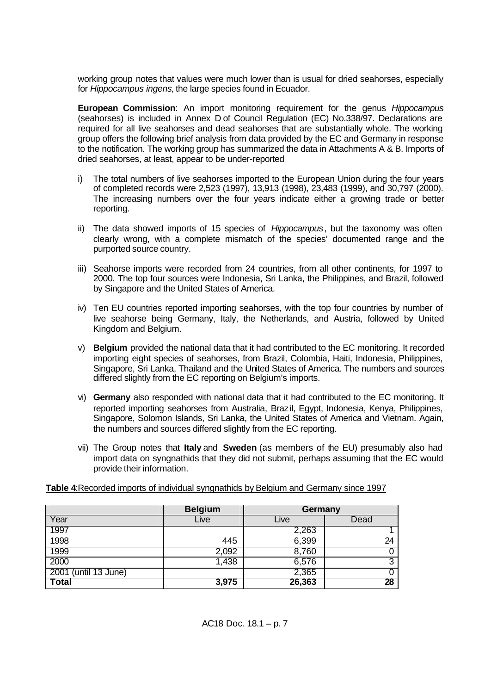working group notes that values were much lower than is usual for dried seahorses, especially for *Hippocampus ingens,* the large species found in Ecuador.

**European Commission**: An import monitoring requirement for the genus *Hippocampus* (seahorses) is included in Annex D of Council Regulation (EC) No.338/97. Declarations are required for all live seahorses and dead seahorses that are substantially whole. The working group offers the following brief analysis from data provided by the EC and Germany in response to the notification. The working group has summarized the data in Attachments A & B. Imports of dried seahorses, at least, appear to be under-reported

- i) The total numbers of live seahorses imported to the European Union during the four years of completed records were 2,523 (1997), 13,913 (1998), 23,483 (1999), and 30,797 (2000). The increasing numbers over the four years indicate either a growing trade or better reporting.
- ii) The data showed imports of 15 species of *Hippocampus*, but the taxonomy was often clearly wrong, with a complete mismatch of the species' documented range and the purported source country.
- iii) Seahorse imports were recorded from 24 countries, from all other continents, for 1997 to 2000. The top four sources were Indonesia, Sri Lanka, the Philippines, and Brazil, followed by Singapore and the United States of America.
- iv) Ten EU countries reported importing seahorses, with the top four countries by number of live seahorse being Germany, Italy, the Netherlands, and Austria, followed by United Kingdom and Belgium.
- v) **Belgium** provided the national data that it had contributed to the EC monitoring. It recorded importing eight species of seahorses, from Brazil, Colombia, Haiti, Indonesia, Philippines, Singapore, Sri Lanka, Thailand and the United States of America. The numbers and sources differed slightly from the EC reporting on Belgium's imports.
- vi) **Germany** also responded with national data that it had contributed to the EC monitoring. It reported importing seahorses from Australia, Brazil, Egypt, Indonesia, Kenya, Philippines, Singapore, Solomon Islands, Sri Lanka, the United States of America and Vietnam. Again, the numbers and sources differed slightly from the EC reporting.
- vii) The Group notes that **Italy** and **Sweden** (as members of the EU) presumably also had import data on syngnathids that they did not submit, perhaps assuming that the EC would provide their information.

**Table 4**:Recorded imports of individual syngnathids by Belgium and Germany since 1997

|                      | <b>Belgium</b> | Germany |      |
|----------------------|----------------|---------|------|
| Year                 | Live           | Live    | Dead |
| 1997                 |                | 2,263   |      |
| 1998                 | 445            | 6,399   | 24   |
| 1999                 | 2,092          | 8,760   | O    |
| 2000                 | 1,438          | 6,576   | 3    |
| 2001 (until 13 June) |                | 2,365   | 0    |
| <b>Total</b>         | 3,975          | 26,363  | 28   |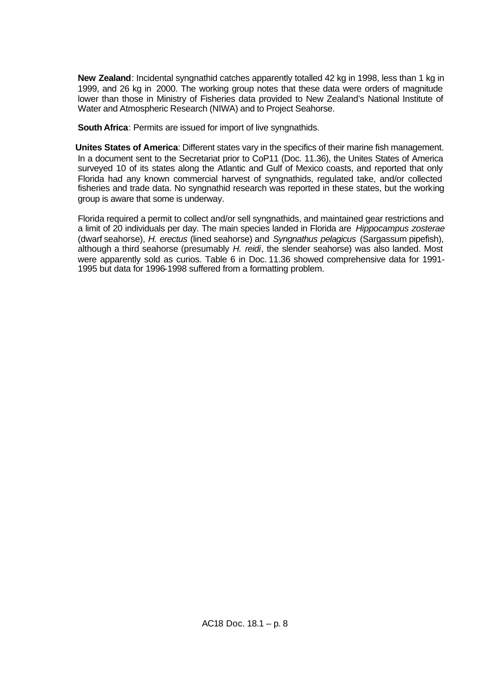**New Zealand**: Incidental syngnathid catches apparently totalled 42 kg in 1998, less than 1 kg in 1999, and 26 kg in 2000. The working group notes that these data were orders of magnitude lower than those in Ministry of Fisheries data provided to New Zealand's National Institute of Water and Atmospheric Research (NIWA) and to Project Seahorse.

**South Africa**: Permits are issued for import of live syngnathids.

**Unites States of America**: Different states vary in the specifics of their marine fish management. In a document sent to the Secretariat prior to CoP11 (Doc. 11.36), the Unites States of America surveyed 10 of its states along the Atlantic and Gulf of Mexico coasts, and reported that only Florida had any known commercial harvest of syngnathids, regulated take, and/or collected fisheries and trade data. No syngnathid research was reported in these states, but the working group is aware that some is underway.

Florida required a permit to collect and/or sell syngnathids, and maintained gear restrictions and a limit of 20 individuals per day. The main species landed in Florida are *Hippocampus zosterae* (dwarf seahorse), *H. erectus* (lined seahorse) and *Syngnathus pelagicus* (Sargassum pipefish), although a third seahorse (presumably *H. reidi*, the slender seahorse) was also landed. Most were apparently sold as curios. Table 6 in Doc. 11.36 showed comprehensive data for 1991- 1995 but data for 1996-1998 suffered from a formatting problem.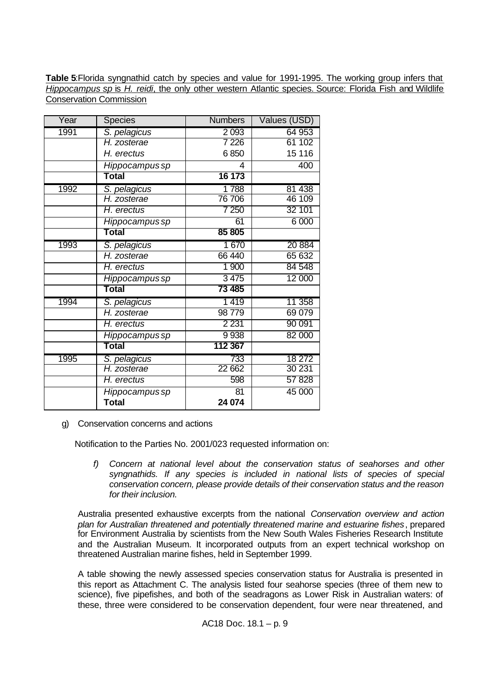**Table 5**:Florida syngnathid catch by species and value for 1991-1995. The working group infers that *Hippocampus sp* is *H. reidi*, the only other western Atlantic species. Source: Florida Fish and Wildlife Conservation Commission

| Year | <b>Species</b> | <b>Numbers</b> | Values (USD) |
|------|----------------|----------------|--------------|
| 1991 | S. pelagicus   | 2 0 9 3        | 64 953       |
|      | H. zosterae    | 7 2 2 6        | 61 102       |
|      | H. erectus     | 6850           | 15 116       |
|      | Hippocampus sp | 4              | 400          |
|      | Total          | 16 173         |              |
| 1992 | S. pelagicus   | 1788           | 81 438       |
|      | H. zosterae    | 76 706         | 46 109       |
|      | H. erectus     | 7 250          | 32 101       |
|      | Hippocampus sp | 61             | 6 000        |
|      | Total          | 85 805         |              |
| 1993 | S. pelagicus   | 1670           | 20 8 84      |
|      | H. zosterae    | 66 440         | 65 632       |
|      | H. erectus     | 1 900          | 84 548       |
|      | Hippocampus sp | 3 4 7 5        | 12 000       |
|      | Total          | 73 485         |              |
| 1994 | S. pelagicus   | 1419           | 11 358       |
|      | H. zosterae    | 98779          | 69 0 79      |
|      | H. erectus     | 2 2 3 1        | 90 091       |
|      | Hippocampus sp | 9 9 38         | 82 000       |
|      | Total          | 112 367        |              |
| 1995 | S. pelagicus   | 733            | 18 272       |
|      | H. zosterae    | 22 662         | 30 231       |
|      | H. erectus     | 598            | 57828        |
|      | Hippocampus sp | 81             | 45 000       |
|      | <b>Total</b>   | 24 074         |              |

g) Conservation concerns and actions

Notification to the Parties No. 2001/023 requested information on:

*f) Concern at national level about the conservation status of seahorses and other syngnathids. If any species is included in national lists of species of special conservation concern, please provide details of their conservation status and the reason for their inclusion.*

Australia presented exhaustive excerpts from the national *Conservation overview and action plan for Australian threatened and potentially threatened marine and estuarine fishes*, prepared for Environment Australia by scientists from the New South Wales Fisheries Research Institute and the Australian Museum. It incorporated outputs from an expert technical workshop on threatened Australian marine fishes, held in September 1999.

A table showing the newly assessed species conservation status for Australia is presented in this report as Attachment C. The analysis listed four seahorse species (three of them new to science), five pipefishes, and both of the seadragons as Lower Risk in Australian waters: of these, three were considered to be conservation dependent, four were near threatened, and

AC18 Doc. 18.1 – p. 9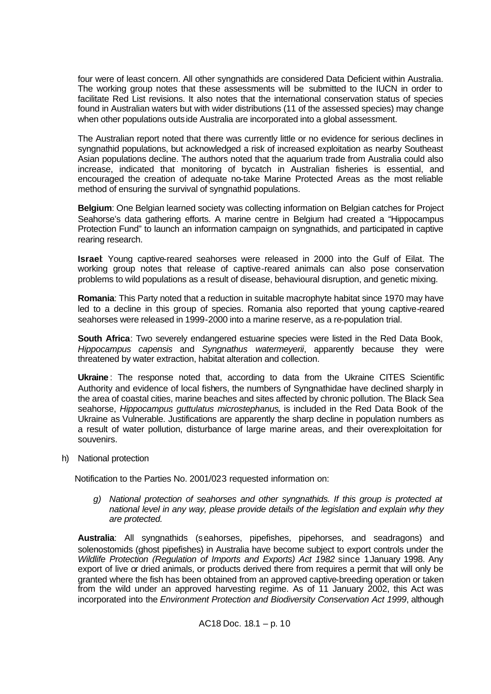four were of least concern. All other syngnathids are considered Data Deficient within Australia. The working group notes that these assessments will be submitted to the IUCN in order to facilitate Red List revisions. It also notes that the international conservation status of species found in Australian waters but with wider distributions (11 of the assessed species) may change when other populations outside Australia are incorporated into a global assessment.

The Australian report noted that there was currently little or no evidence for serious declines in syngnathid populations, but acknowledged a risk of increased exploitation as nearby Southeast Asian populations decline. The authors noted that the aquarium trade from Australia could also increase, indicated that monitoring of bycatch in Australian fisheries is essential, and encouraged the creation of adequate no-take Marine Protected Areas as the most reliable method of ensuring the survival of syngnathid populations.

**Belgium**: One Belgian learned society was collecting information on Belgian catches for Project Seahorse's data gathering efforts. A marine centre in Belgium had created a "Hippocampus Protection Fund" to launch an information campaign on syngnathids, and participated in captive rearing research.

**Israel**: Young captive-reared seahorses were released in 2000 into the Gulf of Eilat. The working group notes that release of captive-reared animals can also pose conservation problems to wild populations as a result of disease, behavioural disruption, and genetic mixing.

**Romania**: This Party noted that a reduction in suitable macrophyte habitat since 1970 may have led to a decline in this group of species. Romania also reported that young captive-reared seahorses were released in 1999-2000 into a marine reserve, as a re-population trial.

**South Africa**: Two severely endangered estuarine species were listed in the Red Data Book, *Hippocampus capensis* and *Syngnathus watermeyerii*, apparently because they were threatened by water extraction, habitat alteration and collection.

**Ukraine** : The response noted that, according to data from the Ukraine CITES Scientific Authority and evidence of local fishers, the numbers of Syngnathidae have declined sharply in the area of coastal cities, marine beaches and sites affected by chronic pollution. The Black Sea seahorse, *Hippocampus guttulatus microstephanus*, is included in the Red Data Book of the Ukraine as Vulnerable. Justifications are apparently the sharp decline in population numbers as a result of water pollution, disturbance of large marine areas, and their overexploitation for souvenirs.

h) National protection

Notification to the Parties No. 2001/023 requested information on:

*g) National protection of seahorses and other syngnathids. If this group is protected at national level in any way, please provide details of the legislation and explain why they are protected.*

**Australia**: All syngnathids (seahorses, pipefishes, pipehorses, and seadragons) and solenostomids (ghost pipefishes) in Australia have become subject to export controls under the *Wildlife Protection (Regulation of Imports and Exports) Act 1982* since 1January 1998. Any export of live or dried animals, or products derived there from requires a permit that will only be granted where the fish has been obtained from an approved captive-breeding operation or taken from the wild under an approved harvesting regime. As of 11 January 2002, this Act was incorporated into the *Environment Protection and Biodiversity Conservation Act 1999*, although

AC18 Doc. 18.1 – p. 10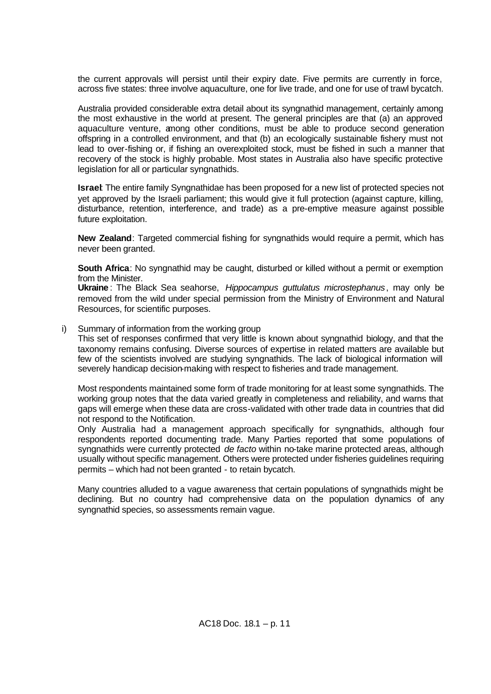the current approvals will persist until their expiry date. Five permits are currently in force, across five states: three involve aquaculture, one for live trade, and one for use of trawl bycatch.

Australia provided considerable extra detail about its syngnathid management, certainly among the most exhaustive in the world at present. The general principles are that (a) an approved aquaculture venture, among other conditions, must be able to produce second generation offspring in a controlled environment, and that (b) an ecologically sustainable fishery must not lead to over-fishing or, if fishing an overexploited stock, must be fished in such a manner that recovery of the stock is highly probable. Most states in Australia also have specific protective legislation for all or particular syngnathids.

**Israel**: The entire family Syngnathidae has been proposed for a new list of protected species not yet approved by the Israeli parliament; this would give it full protection (against capture, killing, disturbance, retention, interference, and trade) as a pre-emptive measure against possible future exploitation.

**New Zealand**: Targeted commercial fishing for syngnathids would require a permit, which has never been granted.

**South Africa**: No syngnathid may be caught, disturbed or killed without a permit or exemption from the Minister.

**Ukraine** : The Black Sea seahorse, *Hippocampus guttulatus microstephanus*, may only be removed from the wild under special permission from the Ministry of Environment and Natural Resources, for scientific purposes.

i) Summary of information from the working group

This set of responses confirmed that very little is known about syngnathid biology, and that the taxonomy remains confusing. Diverse sources of expertise in related matters are available but few of the scientists involved are studying syngnathids. The lack of biological information will severely handicap decision-making with respect to fisheries and trade management.

Most respondents maintained some form of trade monitoring for at least some syngnathids. The working group notes that the data varied greatly in completeness and reliability, and warns that gaps will emerge when these data are cross-validated with other trade data in countries that did not respond to the Notification.

Only Australia had a management approach specifically for syngnathids, although four respondents reported documenting trade. Many Parties reported that some populations of syngnathids were currently protected *de facto* within no-take marine protected areas, although usually without specific management. Others were protected under fisheries guidelines requiring permits – which had not been granted - to retain bycatch.

Many countries alluded to a vague awareness that certain populations of syngnathids might be declining. But no country had comprehensive data on the population dynamics of any syngnathid species, so assessments remain vague.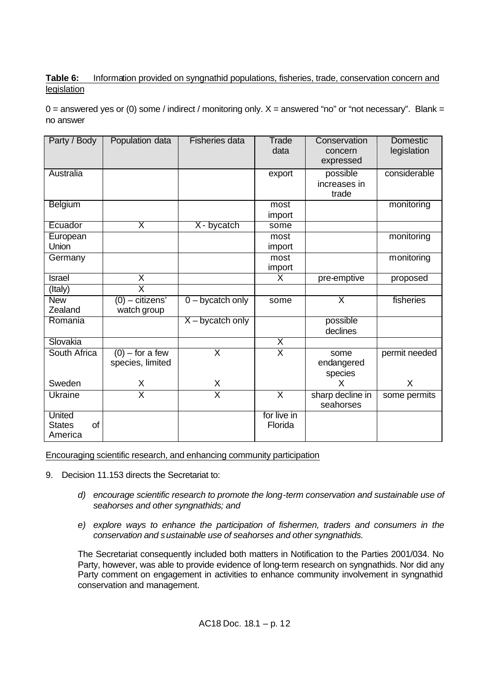## **Table 6:** Information provided on syngnathid populations, fisheries, trade, conservation concern and legislation

 $0 =$  answered yes or (0) some / indirect / monitoring only.  $X =$  answered "no" or "not necessary". Blank = no answer

| Party / Body                             | Population data                       | <b>Fisheries data</b>   | Trade<br>data           | Conservation<br>concern<br>expressed | <b>Domestic</b><br>legislation |
|------------------------------------------|---------------------------------------|-------------------------|-------------------------|--------------------------------------|--------------------------------|
| Australia                                |                                       |                         | export                  | possible<br>increases in<br>trade    | considerable                   |
| Belgium                                  |                                       |                         | most<br>import          |                                      | monitoring                     |
| Ecuador                                  | $\overline{\mathsf{x}}$               | X - bycatch             | some                    |                                      |                                |
| European<br><b>Union</b>                 |                                       |                         | most<br>import          |                                      | monitoring                     |
| Germany                                  |                                       |                         | most<br>import          |                                      | monitoring                     |
| <b>Israel</b>                            | $\overline{\mathsf{X}}$               |                         | X                       | pre-emptive                          | proposed                       |
| (Italy)                                  | $\overline{\textsf{x}}$               |                         |                         |                                      |                                |
| <b>New</b><br>Zealand                    | $(0)$ – citizens'<br>watch group      | $0 - bycatch only$      | some                    | $\overline{\mathsf{x}}$              | fisheries                      |
| Romania                                  |                                       | $X - bycatch only$      |                         | possible<br>declines                 |                                |
| Slovakia                                 |                                       |                         | $\overline{\mathsf{x}}$ |                                      |                                |
| South Africa                             | $(0)$ – for a few<br>species, limited | $\overline{\mathsf{x}}$ | $\overline{\mathsf{x}}$ | some<br>endangered<br>species        | permit needed                  |
| Sweden                                   | Χ                                     | X                       |                         | X                                    | X                              |
| <b>Ukraine</b>                           | $\overline{\textsf{x}}$               | $\overline{\textsf{x}}$ | $\overline{\mathsf{x}}$ | sharp decline in<br>seahorses        | some permits                   |
| United<br>of<br><b>States</b><br>America |                                       |                         | for live in<br>Florida  |                                      |                                |

Encouraging scientific research, and enhancing community participation

- 9. Decision 11.153 directs the Secretariat to:
	- *d) encourage scientific research to promote the long-term conservation and sustainable use of seahorses and other syngnathids; and*
	- *e) explore ways to enhance the participation of fishermen, traders and consumers in the conservation and sustainable use of seahorses and other syngnathids.*

The Secretariat consequently included both matters in Notification to the Parties 2001/034. No Party, however, was able to provide evidence of long-term research on syngnathids. Nor did any Party comment on engagement in activities to enhance community involvement in syngnathid conservation and management.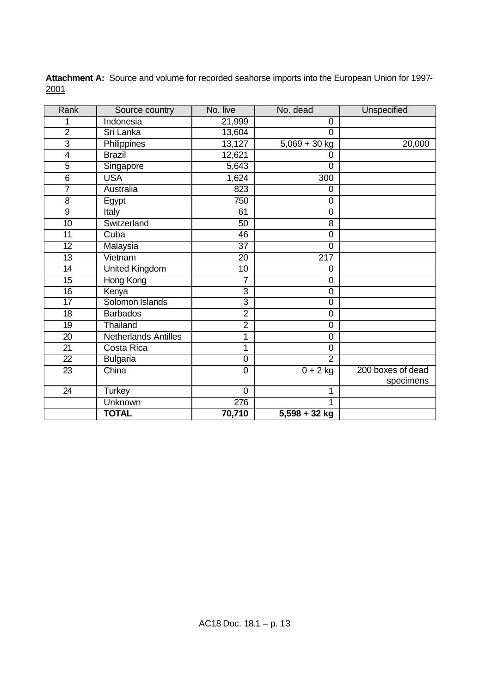| Rank            | Source country              | No. live         | No. dead        | Unspecified       |
|-----------------|-----------------------------|------------------|-----------------|-------------------|
| 1               | Indonesia                   | 21,999           | 0               |                   |
| $\overline{2}$  | Sri Lanka                   | 13,604           | $\overline{0}$  |                   |
| $\overline{3}$  | Philippines                 | 13,127           | $5,069 + 30$ kg | 20,000            |
| $\overline{4}$  | <b>Brazil</b>               | 12,621           | 0               |                   |
| $\overline{5}$  | Singapore                   | 5,643            | $\overline{0}$  |                   |
| $\overline{6}$  | <b>USA</b>                  | 1,624            | 300             |                   |
| 7               | Australia                   | 823              | 0               |                   |
| 8               | Egypt                       | 750              | 0               |                   |
| 9               | Italy                       | 61               | 0               |                   |
| 10              | Switzerland                 | 50               | 8               |                   |
| 11              | Cuba                        | 46               | $\mathbf 0$     |                   |
| $\overline{12}$ | Malaysia                    | $\overline{37}$  | $\overline{0}$  |                   |
| 13              | Vietnam                     | 20               | 217             |                   |
| 14              | <b>United Kingdom</b>       | $\overline{10}$  | 0               |                   |
| 15              | Hong Kong                   | 7                | $\mathbf 0$     |                   |
| 16              | Kenya                       | 3                | $\overline{0}$  |                   |
| 17              | Solomon Islands             | $\overline{3}$   | $\overline{0}$  |                   |
| 18              | <b>Barbados</b>             | $\overline{2}$   | $\overline{0}$  |                   |
| 19              | Thailand                    | $\overline{2}$   | $\overline{0}$  |                   |
| 20              | <b>Netherlands Antilles</b> | 1                | $\overline{0}$  |                   |
| 21              | Costa Rica                  | 1                | 0               |                   |
| $\overline{22}$ | <b>Bulgaria</b>             | $\overline{0}$   | $\overline{2}$  |                   |
| 23              | China                       | $\boldsymbol{0}$ | $0 + 2$ kg      | 200 boxes of dead |
|                 |                             |                  |                 | specimens         |
| 24              | <b>Turkey</b>               | $\mathbf 0$      | 1               |                   |
|                 | <b>Unknown</b>              | 276              |                 |                   |
|                 | <b>TOTAL</b>                | 70,710           | $5,598 + 32$ kg |                   |

Attachment A: Source and volume for recorded seahorse imports into the European Union for 1997-